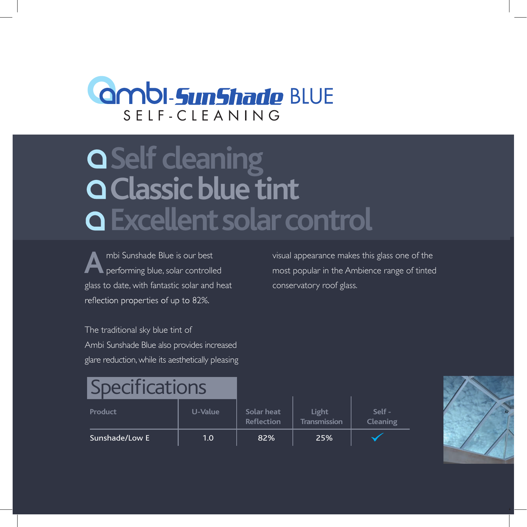

### **Self cleaning Classic blue tint Excellent solar control**

**A** mbi Sunshade Blue is our best performing blue, solar controlled glass to date, with fantastic solar and heat reflection properties of up to 82%.

visual appearance makes this glass one of the most popular in the Ambience range of tinted conservatory roof glass.

The traditional sky blue tint of Ambi Sunshade Blue also provides increased glare reduction, while its aesthetically pleasing

### **Specifications**

| <b>Product</b> | U-Value | Solar heat<br><b>Reflection</b> | Light<br><b>Transmission</b> | Self-<br>Cleaning |
|----------------|---------|---------------------------------|------------------------------|-------------------|
| Sunshade/Low E | 1.0     | 82%                             | 25%                          |                   |

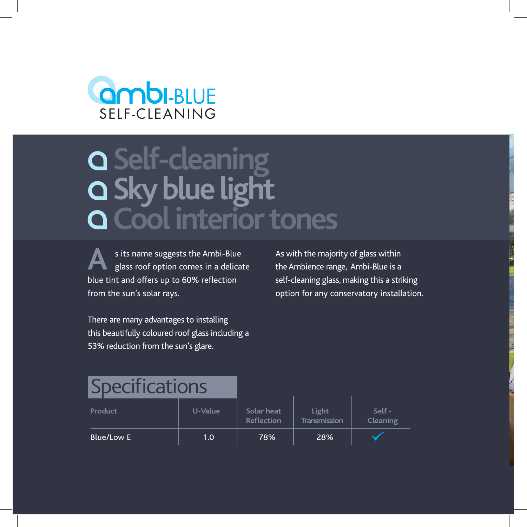

## Self-cleaning<br>Sky blue light **Cool interior tones**

**A** s its name suggests the Ambi-Blue<br>
glass roof option comes in a delicate blue tint and offers up to 60% reflection from the sun's solar rays.

As with the majority of glass within the Ambience range, Ambi-Blue is a self-cleaning glass, making this a striking option for any conservatory installation.

There are many advantages to installing this beautifully coloured roof glass including a 53% reduction from the sun's glare.

#### **Specifications**

| Product    | U-Value | Solar heat<br><b>Reflection</b> | Light<br><b>Transmission</b> | Self -<br><b>Cleaning</b> |
|------------|---------|---------------------------------|------------------------------|---------------------------|
| Blue/Low E | 1.0     | 78%                             | 28%                          |                           |